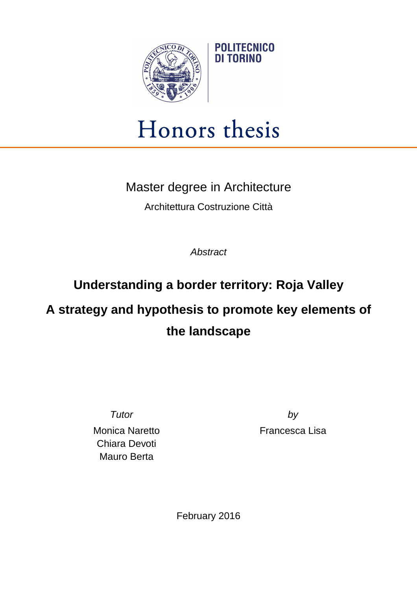

## Honors thesis

**POLITECNICO** DI TORINO

Master degree in Architecture

Architettura Costruzione Città

**Abstract** 

## **Understanding a border territory: Roja Valley**

## **A strategy and hypothesis to promote key elements of the landscape**

Monica Naretto Chiara Devoti Mauro Berta

Tutor by Francesca Lisa

February 2016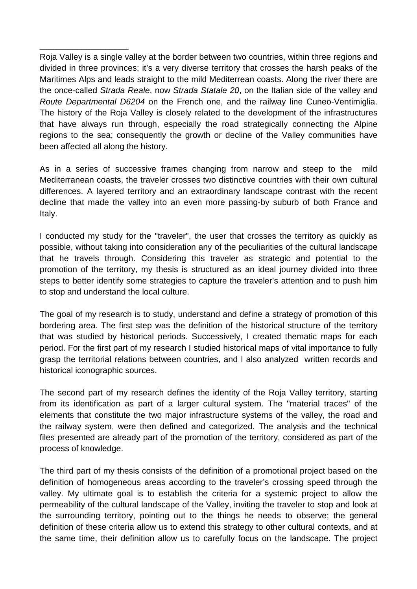Roja Valley is a single valley at the border between two countries, within three regions and divided in three provinces; it's a very diverse territory that crosses the harsh peaks of the Maritimes Alps and leads straight to the mild Mediterrean coasts. Along the river there are the once-called Strada Reale, now Strada Statale 20, on the Italian side of the valley and Route Departmental D6204 on the French one, and the railway line Cuneo-Ventimiglia. The history of the Roja Valley is closely related to the development of the infrastructures that have always run through, especially the road strategically connecting the Alpine regions to the sea; consequently the growth or decline of the Valley communities have been affected all along the history.

\_\_\_\_\_\_\_\_\_\_\_\_\_\_\_\_\_\_\_

As in a series of successive frames changing from narrow and steep to the mild Mediterranean coasts, the traveler crosses two distinctive countries with their own cultural differences. A layered territory and an extraordinary landscape contrast with the recent decline that made the valley into an even more passing-by suburb of both France and Italy.

I conducted my study for the "traveler", the user that crosses the territory as quickly as possible, without taking into consideration any of the peculiarities of the cultural landscape that he travels through. Considering this traveler as strategic and potential to the promotion of the territory, my thesis is structured as an ideal journey divided into three steps to better identify some strategies to capture the traveler's attention and to push him to stop and understand the local culture.

The goal of my research is to study, understand and define a strategy of promotion of this bordering area. The first step was the definition of the historical structure of the territory that was studied by historical periods. Successively, I created thematic maps for each period. For the first part of my research I studied historical maps of vital importance to fully grasp the territorial relations between countries, and I also analyzed written records and historical iconographic sources.

The second part of my research defines the identity of the Roja Valley territory, starting from its identification as part of a larger cultural system. The "material traces" of the elements that constitute the two major infrastructure systems of the valley, the road and the railway system, were then defined and categorized. The analysis and the technical files presented are already part of the promotion of the territory, considered as part of the process of knowledge.

The third part of my thesis consists of the definition of a promotional project based on the definition of homogeneous areas according to the traveler's crossing speed through the valley. My ultimate goal is to establish the criteria for a systemic project to allow the permeability of the cultural landscape of the Valley, inviting the traveler to stop and look at the surrounding territory, pointing out to the things he needs to observe; the general definition of these criteria allow us to extend this strategy to other cultural contexts, and at the same time, their definition allow us to carefully focus on the landscape. The project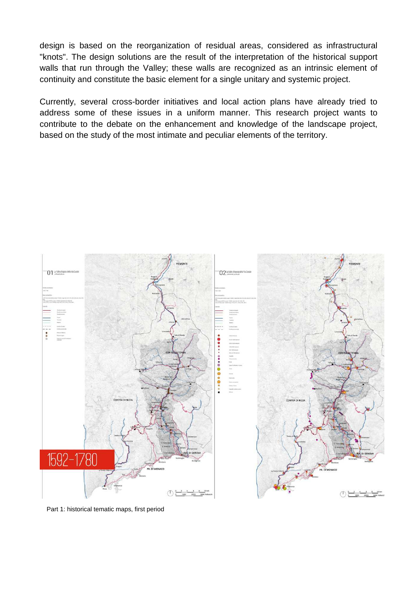design is based on the reorganization of residual areas, considered as infrastructural "knots". The design solutions are the result of the interpretation of the historical support walls that run through the Valley; these walls are recognized as an intrinsic element of continuity and constitute the basic element for a single unitary and systemic project.

Currently, several cross-border initiatives and local action plans have already tried to address some of these issues in a uniform manner. This research project wants to contribute to the debate on the enhancement and knowledge of the landscape project, based on the study of the most intimate and peculiar elements of the territory.



Part 1: historical tematic maps, first period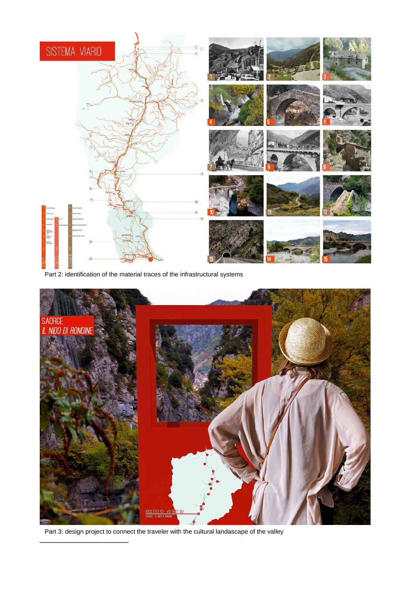

Part 2: identification of the material traces of the infrastructural systems



\_\_\_\_\_\_\_\_\_\_\_\_\_\_\_\_\_\_\_ Part 3: design project to connect the traveler with the cultural landascape of the valley